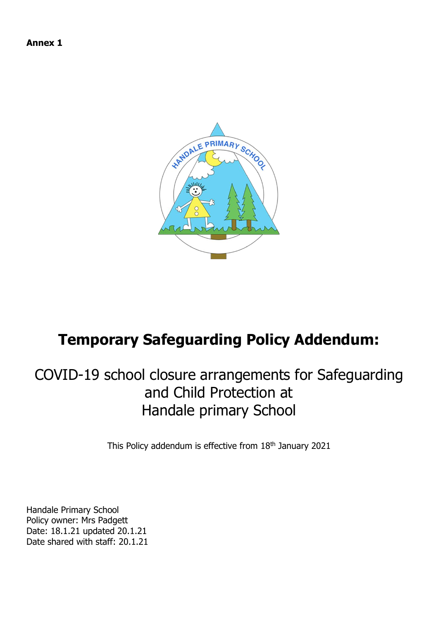**Annex 1**



# **Temporary Safeguarding Policy Addendum:**

# COVID-19 school closure arrangements for Safeguarding and Child Protection at Handale primary School

This Policy addendum is effective from 18th January 2021

Handale Primary School Policy owner: Mrs Padgett Date: 18.1.21 updated 20.1.21 Date shared with staff: 20.1.21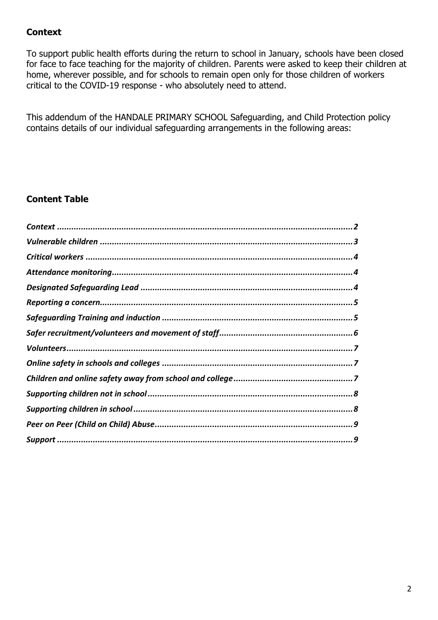# <span id="page-1-0"></span>**Context**

To support public health efforts during the return to school in January, schools have been closed for face to face teaching for the majority of children. Parents were asked to keep their children at home, wherever possible, and for schools to remain open only for those children of workers critical to the COVID-19 response - who absolutely need to attend.

This addendum of the HANDALE PRIMARY SCHOOL Safeguarding, and Child Protection policy contains details of our individual safeguarding arrangements in the following areas:

## **Content Table**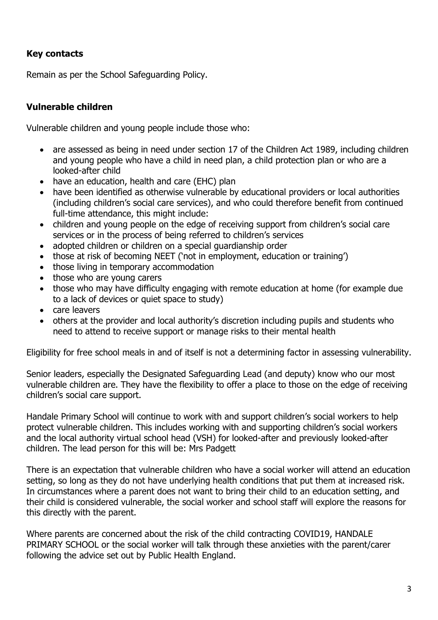# **Key contacts**

Remain as per the School Safeguarding Policy.

# <span id="page-2-0"></span>**Vulnerable children**

Vulnerable children and young people include those who:

- are assessed as being in need under section 17 of the Children Act 1989, including children and young people who have a child in need plan, a child protection plan or who are a looked-after child
- have an education, health and care (EHC) plan
- have been identified as otherwise vulnerable by educational providers or local authorities (including children's social care services), and who could therefore benefit from continued full-time attendance, this might include:
- children and young people on the edge of receiving support from children's social care services or in the process of being referred to children's services
- adopted children or children on a special guardianship order
- those at risk of becoming NEET ('not in employment, education or training')
- those living in temporary accommodation
- those who are young carers
- those who may have difficulty engaging with remote education at home (for example due to a lack of devices or quiet space to study)
- care leavers
- others at the provider and local authority's discretion including pupils and students who need to attend to receive support or manage risks to their mental health

Eligibility for free school meals in and of itself is not a determining factor in assessing vulnerability.

Senior leaders, especially the Designated Safeguarding Lead (and deputy) know who our most vulnerable children are. They have the flexibility to offer a place to those on the edge of receiving children's social care support.

Handale Primary School will continue to work with and support children's social workers to help protect vulnerable children. This includes working with and supporting children's social workers and the local authority virtual school head (VSH) for looked-after and previously looked-after children. The lead person for this will be: Mrs Padgett

There is an expectation that vulnerable children who have a social worker will attend an education setting, so long as they do not have underlying health conditions that put them at increased risk. In circumstances where a parent does not want to bring their child to an education setting, and their child is considered vulnerable, the social worker and school staff will explore the reasons for this directly with the parent.

Where parents are concerned about the risk of the child contracting COVID19, HANDALE PRIMARY SCHOOL or the social worker will talk through these anxieties with the parent/carer following the advice set out by Public Health England.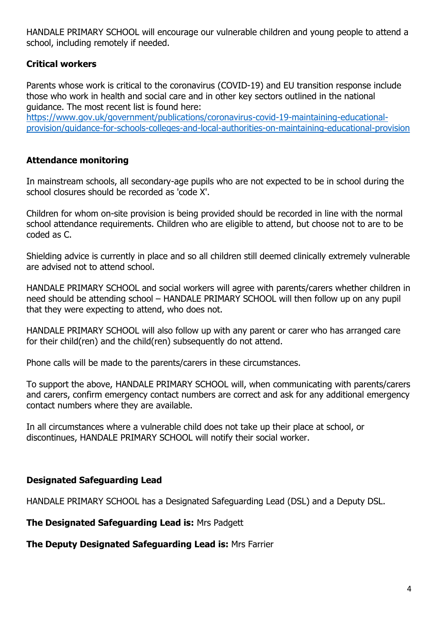HANDALE PRIMARY SCHOOL will encourage our vulnerable children and young people to attend a school, including remotely if needed.

# <span id="page-3-0"></span>**Critical workers**

Parents whose work is critical to the coronavirus (COVID-19) and EU transition response include those who work in health and social care and in other key sectors outlined in the national guidance. The most recent list is found here:

[https://www.gov.uk/government/publications/coronavirus-covid-19-maintaining-educational](https://www.gov.uk/government/publications/coronavirus-covid-19-maintaining-educational-provision/guidance-for-schools-colleges-and-local-authorities-on-maintaining-educational-provision)[provision/guidance-for-schools-colleges-and-local-authorities-on-maintaining-educational-provision](https://www.gov.uk/government/publications/coronavirus-covid-19-maintaining-educational-provision/guidance-for-schools-colleges-and-local-authorities-on-maintaining-educational-provision)

# <span id="page-3-1"></span>**Attendance monitoring**

In mainstream schools, all secondary-age pupils who are not expected to be in school during the school closures should be recorded as 'code X'.

Children for whom on-site provision is being provided should be recorded in line with the normal school attendance requirements. Children who are eligible to attend, but choose not to are to be coded as C.

Shielding advice is currently in place and so all children still deemed clinically extremely vulnerable are advised not to attend school.

HANDALE PRIMARY SCHOOL and social workers will agree with parents/carers whether children in need should be attending school – HANDALE PRIMARY SCHOOL will then follow up on any pupil that they were expecting to attend, who does not.

HANDALE PRIMARY SCHOOL will also follow up with any parent or carer who has arranged care for their child(ren) and the child(ren) subsequently do not attend.

Phone calls will be made to the parents/carers in these circumstances.

To support the above, HANDALE PRIMARY SCHOOL will, when communicating with parents/carers and carers, confirm emergency contact numbers are correct and ask for any additional emergency contact numbers where they are available.

In all circumstances where a vulnerable child does not take up their place at school, or discontinues, HANDALE PRIMARY SCHOOL will notify their social worker.

## <span id="page-3-2"></span>**Designated Safeguarding Lead**

HANDALE PRIMARY SCHOOL has a Designated Safeguarding Lead (DSL) and a Deputy DSL.

**The Designated Safeguarding Lead is:** Mrs Padgett

**The Deputy Designated Safeguarding Lead is:** Mrs Farrier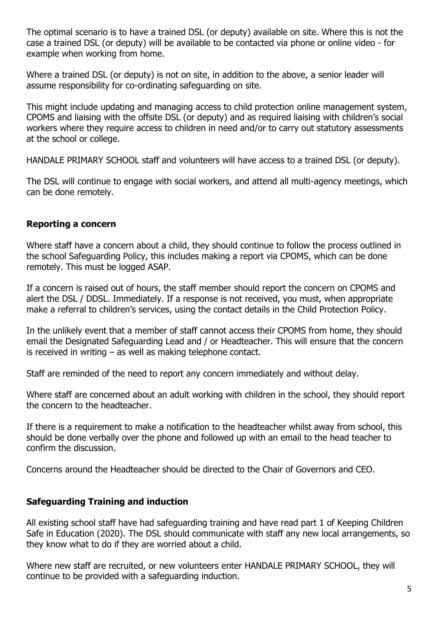The optimal scenario is to have a trained DSL (or deputy) available on site. Where this is not the case a trained DSL (or deputy) will be available to be contacted via phone or online video - for example when working from home.

Where a trained DSL (or deputy) is not on site, in addition to the above, a senior leader will assume responsibility for co-ordinating safeguarding on site.

This might include updating and managing access to child protection online management system, CPOMS and liaising with the offsite DSL (or deputy) and as required liaising with children's social workers where they require access to children in need and/or to carry out statutory assessments at the school or college.

HANDALE PRIMARY SCHOOL staff and volunteers will have access to a trained DSL (or deputy).

The DSL will continue to engage with social workers, and attend all multi-agency meetings, which can be done remotely.

#### <span id="page-4-0"></span>**Reporting a concern**

Where staff have a concern about a child, they should continue to follow the process outlined in the school Safeguarding Policy, this includes making a report via CPOMS, which can be done remotely. This must be logged ASAP.

If a concern is raised out of hours, the staff member should report the concern on CPOMS and alert the DSL / DDSL. Immediately. If a response is not received, you must, when appropriate make a referral to children's services, using the contact details in the Child Protection Policy.

In the unlikely event that a member of staff cannot access their CPOMS from home, they should email the Designated Safeguarding Lead and / or Headteacher. This will ensure that the concern is received in writing – as well as making telephone contact.

Staff are reminded of the need to report any concern immediately and without delay.

Where staff are concerned about an adult working with children in the school, they should report the concern to the headteacher.

If there is a requirement to make a notification to the headteacher whilst away from school, this should be done verbally over the phone and followed up with an email to the head teacher to confirm the discussion.

Concerns around the Headteacher should be directed to the Chair of Governors and CEO.

#### <span id="page-4-1"></span>**Safeguarding Training and induction**

All existing school staff have had safeguarding training and have read part 1 of Keeping Children Safe in Education (2020). The DSL should communicate with staff any new local arrangements, so they know what to do if they are worried about a child.

Where new staff are recruited, or new volunteers enter HANDALE PRIMARY SCHOOL, they will continue to be provided with a safeguarding induction.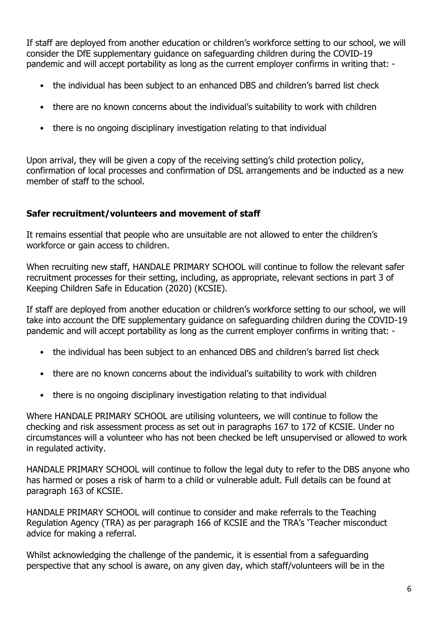If staff are deployed from another education or children's workforce setting to our school, we will consider the DfE supplementary guidance on safeguarding children during the COVID-19 pandemic and will accept portability as long as the current employer confirms in writing that: -

- the individual has been subject to an enhanced DBS and children's barred list check
- there are no known concerns about the individual's suitability to work with children
- there is no ongoing disciplinary investigation relating to that individual

Upon arrival, they will be given a copy of the receiving setting's child protection policy, confirmation of local processes and confirmation of DSL arrangements and be inducted as a new member of staff to the school.

## <span id="page-5-0"></span>**Safer recruitment/volunteers and movement of staff**

It remains essential that people who are unsuitable are not allowed to enter the children's workforce or gain access to children.

When recruiting new staff, HANDALE PRIMARY SCHOOL will continue to follow the relevant safer recruitment processes for their setting, including, as appropriate, relevant sections in part 3 of Keeping Children Safe in Education (2020) (KCSIE).

If staff are deployed from another education or children's workforce setting to our school, we will take into account the DfE supplementary guidance on safeguarding children during the COVID-19 pandemic and will accept portability as long as the current employer confirms in writing that: -

- the individual has been subject to an enhanced DBS and children's barred list check
- there are no known concerns about the individual's suitability to work with children
- there is no ongoing disciplinary investigation relating to that individual

Where HANDALE PRIMARY SCHOOL are utilising volunteers, we will continue to follow the checking and risk assessment process as set out in paragraphs 167 to 172 of KCSIE. Under no circumstances will a volunteer who has not been checked be left unsupervised or allowed to work in regulated activity.

HANDALE PRIMARY SCHOOL will continue to follow the legal duty to refer to the DBS anyone who has harmed or poses a risk of harm to a child or vulnerable adult. Full details can be found at paragraph 163 of KCSIE.

HANDALE PRIMARY SCHOOL will continue to consider and make referrals to the Teaching Regulation Agency (TRA) as per paragraph 166 of KCSIE and the TRA's 'Teacher misconduct advice for making a referral.

Whilst acknowledging the challenge of the pandemic, it is essential from a safeguarding perspective that any school is aware, on any given day, which staff/volunteers will be in the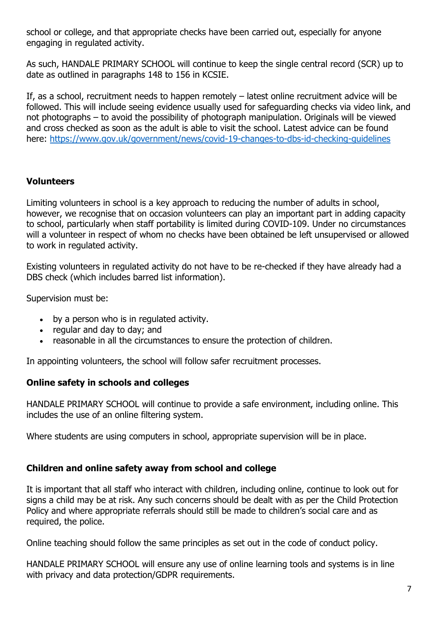school or college, and that appropriate checks have been carried out, especially for anyone engaging in regulated activity.

As such, HANDALE PRIMARY SCHOOL will continue to keep the single central record (SCR) up to date as outlined in paragraphs 148 to 156 in KCSIE.

If, as a school, recruitment needs to happen remotely – latest online recruitment advice will be followed. This will include seeing evidence usually used for safeguarding checks via video link, and not photographs – to avoid the possibility of photograph manipulation. Originals will be viewed and cross checked as soon as the adult is able to visit the school. Latest advice can be found here:<https://www.gov.uk/government/news/covid-19-changes-to-dbs-id-checking-guidelines>

#### <span id="page-6-0"></span>**Volunteers**

Limiting volunteers in school is a key approach to reducing the number of adults in school, however, we recognise that on occasion volunteers can play an important part in adding capacity to school, particularly when staff portability is limited during COVID-109. Under no circumstances will a volunteer in respect of whom no checks have been obtained be left unsupervised or allowed to work in regulated activity.

Existing volunteers in regulated activity do not have to be re-checked if they have already had a DBS check (which includes barred list information).

Supervision must be:

- by a person who is in regulated activity.
- regular and day to day; and
- reasonable in all the circumstances to ensure the protection of children.

In appointing volunteers, the school will follow safer recruitment processes.

#### <span id="page-6-1"></span>**Online safety in schools and colleges**

HANDALE PRIMARY SCHOOL will continue to provide a safe environment, including online. This includes the use of an online filtering system.

Where students are using computers in school, appropriate supervision will be in place.

#### <span id="page-6-2"></span>**Children and online safety away from school and college**

It is important that all staff who interact with children, including online, continue to look out for signs a child may be at risk. Any such concerns should be dealt with as per the Child Protection Policy and where appropriate referrals should still be made to children's social care and as required, the police.

Online teaching should follow the same principles as set out in the code of conduct policy.

HANDALE PRIMARY SCHOOL will ensure any use of online learning tools and systems is in line with privacy and data protection/GDPR requirements.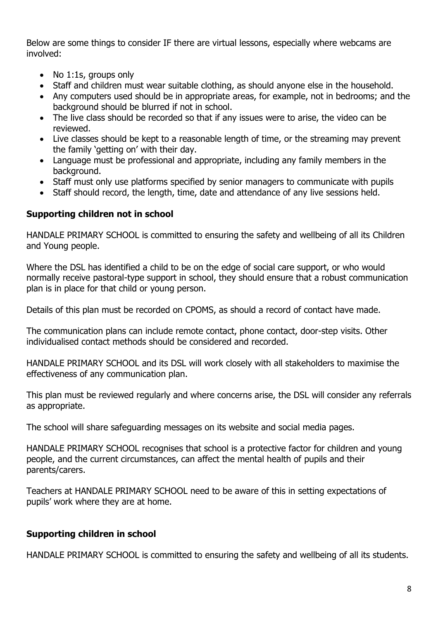Below are some things to consider IF there are virtual lessons, especially where webcams are involved:

- No 1:1s, groups only
- Staff and children must wear suitable clothing, as should anyone else in the household.
- Any computers used should be in appropriate areas, for example, not in bedrooms; and the background should be blurred if not in school.
- The live class should be recorded so that if any issues were to arise, the video can be reviewed.
- Live classes should be kept to a reasonable length of time, or the streaming may prevent the family 'getting on' with their day.
- Language must be professional and appropriate, including any family members in the background.
- Staff must only use platforms specified by senior managers to communicate with pupils
- Staff should record, the length, time, date and attendance of any live sessions held.

## <span id="page-7-0"></span>**Supporting children not in school**

HANDALE PRIMARY SCHOOL is committed to ensuring the safety and wellbeing of all its Children and Young people.

Where the DSL has identified a child to be on the edge of social care support, or who would normally receive pastoral-type support in school, they should ensure that a robust communication plan is in place for that child or young person.

Details of this plan must be recorded on CPOMS, as should a record of contact have made.

The communication plans can include remote contact, phone contact, door-step visits. Other individualised contact methods should be considered and recorded.

HANDALE PRIMARY SCHOOL and its DSL will work closely with all stakeholders to maximise the effectiveness of any communication plan.

This plan must be reviewed regularly and where concerns arise, the DSL will consider any referrals as appropriate.

The school will share safeguarding messages on its website and social media pages.

HANDALE PRIMARY SCHOOL recognises that school is a protective factor for children and young people, and the current circumstances, can affect the mental health of pupils and their parents/carers.

Teachers at HANDALE PRIMARY SCHOOL need to be aware of this in setting expectations of pupils' work where they are at home.

# <span id="page-7-1"></span>**Supporting children in school**

HANDALE PRIMARY SCHOOL is committed to ensuring the safety and wellbeing of all its students.